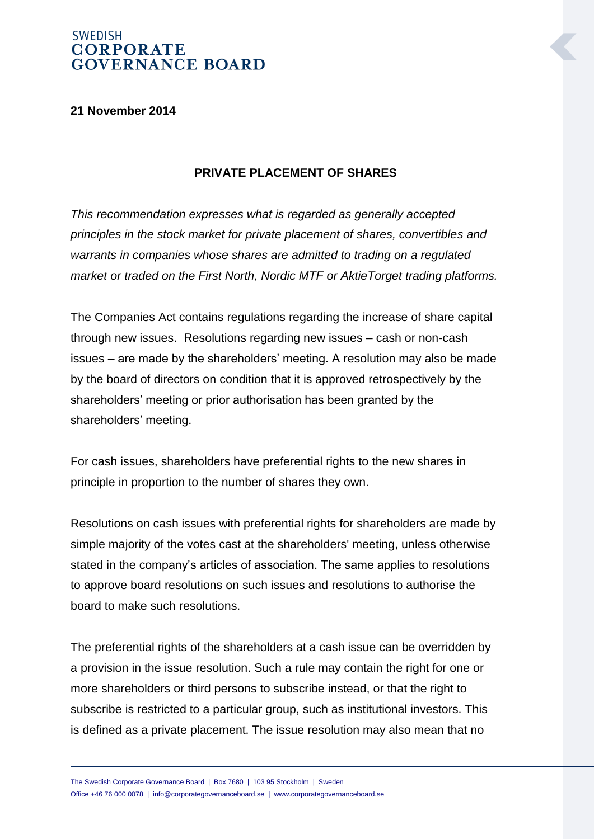#### **21 November 2014**

#### **PRIVATE PLACEMENT OF SHARES**

*This recommendation expresses what is regarded as generally accepted principles in the stock market for private placement of shares, convertibles and warrants in companies whose shares are admitted to trading on a regulated market or traded on the First North, Nordic MTF or AktieTorget trading platforms.* 

The Companies Act contains regulations regarding the increase of share capital through new issues. Resolutions regarding new issues – cash or non-cash issues – are made by the shareholders' meeting. A resolution may also be made by the board of directors on condition that it is approved retrospectively by the shareholders' meeting or prior authorisation has been granted by the shareholders' meeting.

For cash issues, shareholders have preferential rights to the new shares in principle in proportion to the number of shares they own.

Resolutions on cash issues with preferential rights for shareholders are made by simple majority of the votes cast at the shareholders' meeting, unless otherwise stated in the company's articles of association. The same applies to resolutions to approve board resolutions on such issues and resolutions to authorise the board to make such resolutions.

The preferential rights of the shareholders at a cash issue can be overridden by a provision in the issue resolution. Such a rule may contain the right for one or more shareholders or third persons to subscribe instead, or that the right to subscribe is restricted to a particular group, such as institutional investors. This is defined as a private placement. The issue resolution may also mean that no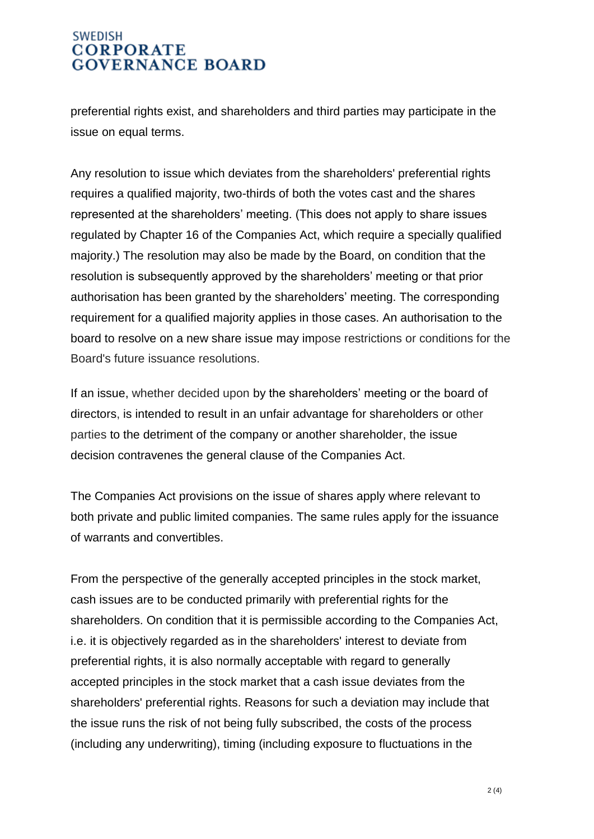preferential rights exist, and shareholders and third parties may participate in the issue on equal terms.

Any resolution to issue which deviates from the shareholders' preferential rights requires a qualified majority, two-thirds of both the votes cast and the shares represented at the shareholders' meeting. (This does not apply to share issues regulated by Chapter 16 of the Companies Act, which require a specially qualified majority.) The resolution may also be made by the Board, on condition that the resolution is subsequently approved by the shareholders' meeting or that prior authorisation has been granted by the shareholders' meeting. The corresponding requirement for a qualified majority applies in those cases. An authorisation to the board to resolve on a new share issue may impose restrictions or conditions for the Board's future issuance resolutions.

If an issue, whether decided upon by the shareholders' meeting or the board of directors, is intended to result in an unfair advantage for shareholders or other parties to the detriment of the company or another shareholder, the issue decision contravenes the general clause of the Companies Act.

The Companies Act provisions on the issue of shares apply where relevant to both private and public limited companies. The same rules apply for the issuance of warrants and convertibles.

From the perspective of the generally accepted principles in the stock market, cash issues are to be conducted primarily with preferential rights for the shareholders. On condition that it is permissible according to the Companies Act, i.e. it is objectively regarded as in the shareholders' interest to deviate from preferential rights, it is also normally acceptable with regard to generally accepted principles in the stock market that a cash issue deviates from the shareholders' preferential rights. Reasons for such a deviation may include that the issue runs the risk of not being fully subscribed, the costs of the process (including any underwriting), timing (including exposure to fluctuations in the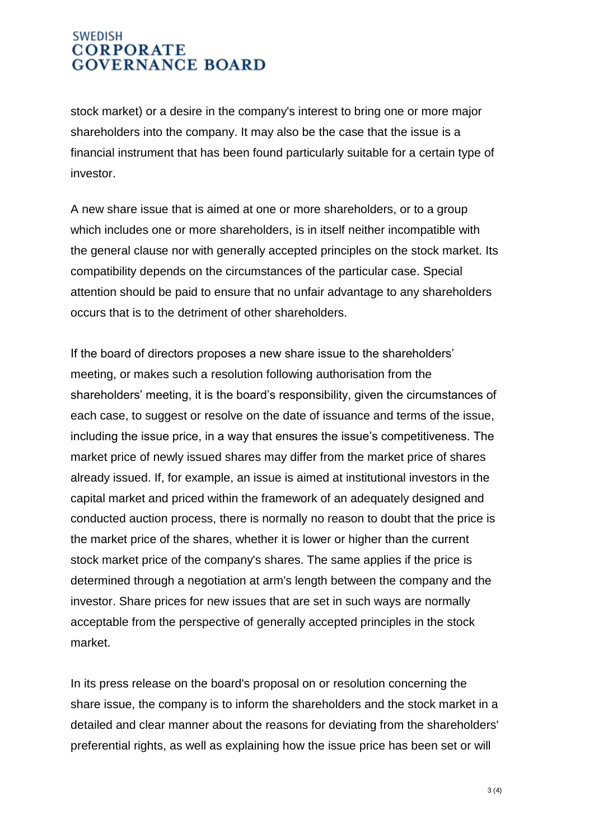stock market) or a desire in the company's interest to bring one or more major shareholders into the company. It may also be the case that the issue is a financial instrument that has been found particularly suitable for a certain type of investor.

A new share issue that is aimed at one or more shareholders, or to a group which includes one or more shareholders, is in itself neither incompatible with the general clause nor with generally accepted principles on the stock market. Its compatibility depends on the circumstances of the particular case. Special attention should be paid to ensure that no unfair advantage to any shareholders occurs that is to the detriment of other shareholders.

If the board of directors proposes a new share issue to the shareholders' meeting, or makes such a resolution following authorisation from the shareholders' meeting, it is the board's responsibility, given the circumstances of each case, to suggest or resolve on the date of issuance and terms of the issue, including the issue price, in a way that ensures the issue's competitiveness. The market price of newly issued shares may differ from the market price of shares already issued. If, for example, an issue is aimed at institutional investors in the capital market and priced within the framework of an adequately designed and conducted auction process, there is normally no reason to doubt that the price is the market price of the shares, whether it is lower or higher than the current stock market price of the company's shares. The same applies if the price is determined through a negotiation at arm's length between the company and the investor. Share prices for new issues that are set in such ways are normally acceptable from the perspective of generally accepted principles in the stock market.

In its press release on the board's proposal on or resolution concerning the share issue, the company is to inform the shareholders and the stock market in a detailed and clear manner about the reasons for deviating from the shareholders' preferential rights, as well as explaining how the issue price has been set or will